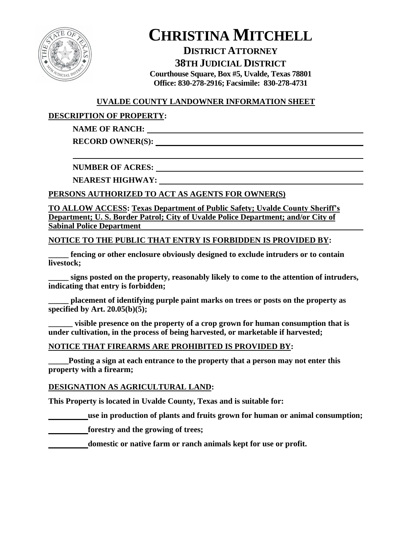

## **DISTRICT ATTORNEY 38TH JUDICIAL DISTRICT**

**Courthouse Square, Box #5, Uvalde, Texas 78801 Office: 830-278-2916; Facsimile: 830-278-4731**

### **UVALDE COUNTY LANDOWNER INFORMATION SHEET**

## **DESCRIPTION OF PROPERTY:**

## **NAME OF RANCH:**

**RECORD OWNER(S):** 

**NUMBER OF ACRES:** 

**NEAREST HIGHWAY:** 

### **PERSONS AUTHORIZED TO ACT AS AGENTS FOR OWNER(S)**

**TO ALLOW ACCESS: Texas Department of Public Safety; Uvalde County Sheriff's Department; U. S. Border Patrol; City of Uvalde Police Department; and/or City of Sabinal Police Department** 

#### **NOTICE TO THE PUBLIC THAT ENTRY IS FORBIDDEN IS PROVIDED BY:**

**\_\_\_\_\_ fencing or other enclosure obviously designed to exclude intruders or to contain livestock;**

**\_\_\_\_\_ signs posted on the property, reasonably likely to come to the attention of intruders, indicating that entry is forbidden;**

**\_\_\_\_\_ placement of identifying purple paint marks on trees or posts on the property as specified by Art. 20.05(b)(5);**

**\_\_\_\_\_\_ visible presence on the property of a crop grown for human consumption that is under cultivation, in the process of being harvested, or marketable if harvested;**

#### **NOTICE THAT FIREARMS ARE PROHIBITED IS PROVIDED BY:**

Posting a sign at each entrance to the property that a person may not enter this **property with a firearm;**

#### **DESIGNATION AS AGRICULTURAL LAND:**

**This Property is located in Uvalde County, Texas and is suitable for:**

**use in production of plants and fruits grown for human or animal consumption;**

**forestry and the growing of trees;**

**domestic or native farm or ranch animals kept for use or profit.**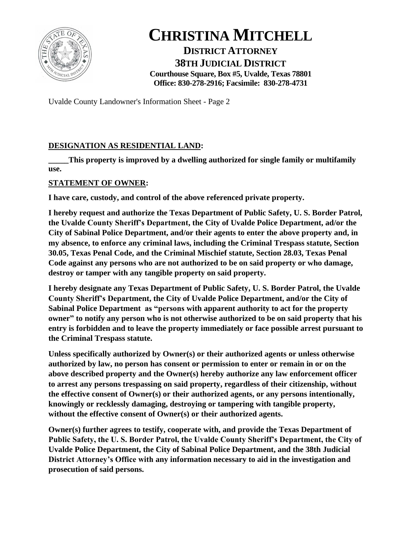

**DISTRICT ATTORNEY 38TH JUDICIAL DISTRICT Courthouse Square, Box #5, Uvalde, Texas 78801 Office: 830-278-2916; Facsimile: 830-278-4731**

Uvalde County Landowner's Information Sheet - Page 2

### **DESIGNATION AS RESIDENTIAL LAND:**

This property is improved by a dwelling authorized for single family or multifamily **use.**

### **STATEMENT OF OWNER:**

**I have care, custody, and control of the above referenced private property.**

**I hereby request and authorize the Texas Department of Public Safety, U. S. Border Patrol, the Uvalde County Sheriff's Department, the City of Uvalde Police Department, ad/or the City of Sabinal Police Department, and/or their agents to enter the above property and, in my absence, to enforce any criminal laws, including the Criminal Trespass statute, Section 30.05, Texas Penal Code, and the Criminal Mischief statute, Section 28.03, Texas Penal Code against any persons who are not authorized to be on said property or who damage, destroy or tamper with any tangible property on said property.**

**I hereby designate any Texas Department of Public Safety, U. S. Border Patrol, the Uvalde County Sheriff's Department, the City of Uvalde Police Department, and/or the City of Sabinal Police Department as "persons with apparent authority to act for the property owner" to notify any person who is not otherwise authorized to be on said property that his entry is forbidden and to leave the property immediately or face possible arrest pursuant to the Criminal Trespass statute.**

**Unless specifically authorized by Owner(s) or their authorized agents or unless otherwise authorized by law, no person has consent or permission to enter or remain in or on the above described property and the Owner(s) hereby authorize any law enforcement officer to arrest any persons trespassing on said property, regardless of their citizenship, without the effective consent of Owner(s) or their authorized agents, or any persons intentionally, knowingly or recklessly damaging, destroying or tampering with tangible property, without the effective consent of Owner(s) or their authorized agents.**

**Owner(s) further agrees to testify, cooperate with, and provide the Texas Department of Public Safety, the U. S. Border Patrol, the Uvalde County Sheriff's Department, the City of Uvalde Police Department, the City of Sabinal Police Department, and the 38th Judicial District Attorney's Office with any information necessary to aid in the investigation and prosecution of said persons.**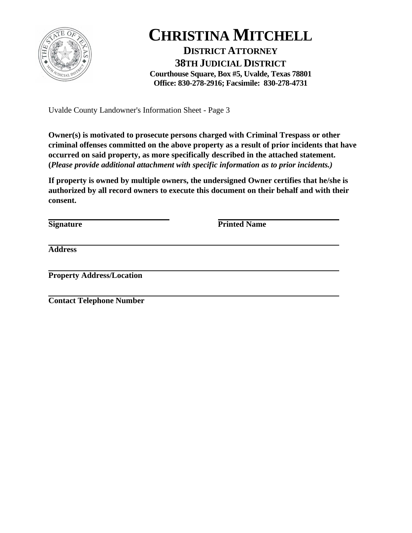

**DISTRICT ATTORNEY 38TH JUDICIAL DISTRICT Courthouse Square, Box #5, Uvalde, Texas 78801 Office: 830-278-2916; Facsimile: 830-278-4731**

Uvalde County Landowner's Information Sheet - Page 3

**Owner(s) is motivated to prosecute persons charged with Criminal Trespass or other criminal offenses committed on the above property as a result of prior incidents that have occurred on said property, as more specifically described in the attached statement. (***Please provide additional attachment with specific information as to prior incidents.)*

**If property is owned by multiple owners, the undersigned Owner certifies that he/she is authorized by all record owners to execute this document on their behalf and with their consent.**

**Signature Printed Name** 

**Address**

**Property Address/Location**

**Contact Telephone Number**